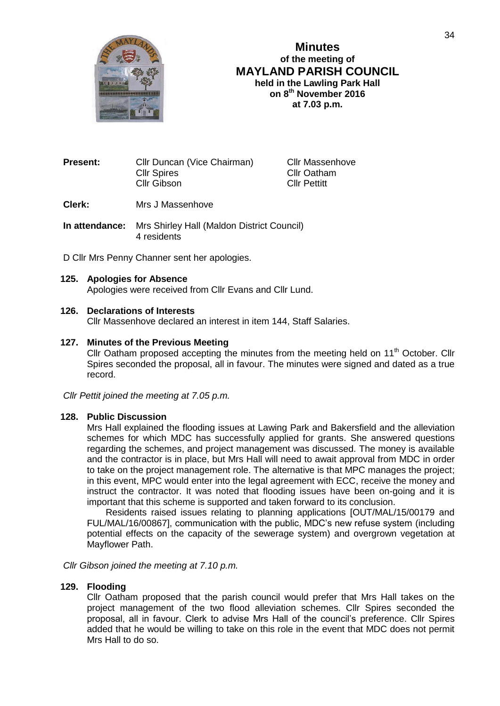

# **Minutes of the meeting of MAYLAND PARISH COUNCIL held in the Lawling Park Hall on 8 th November 2016 at 7.03 p.m.**

**Present:** Cllr Duncan (Vice Chairman) Cllr Massenhove<br>Cllr Spires Cllr Cllr Oatham Cllr Gibson Cllr Pettitt

Cllr Oatham

- **Clerk:** Mrs J Massenhove
- **In attendance:** Mrs Shirley Hall (Maldon District Council) 4 residents

D Cllr Mrs Penny Channer sent her apologies.

# **125. Apologies for Absence**

Apologies were received from Cllr Evans and Cllr Lund.

# **126. Declarations of Interests**

Cllr Massenhove declared an interest in item 144, Staff Salaries.

# **127. Minutes of the Previous Meeting**

Cllr Oatham proposed accepting the minutes from the meeting held on 11<sup>th</sup> October. Cllr Spires seconded the proposal, all in favour. The minutes were signed and dated as a true record.

*Cllr Pettit joined the meeting at 7.05 p.m.*

### **128. Public Discussion**

Mrs Hall explained the flooding issues at Lawing Park and Bakersfield and the alleviation schemes for which MDC has successfully applied for grants. She answered questions regarding the schemes, and project management was discussed. The money is available and the contractor is in place, but Mrs Hall will need to await approval from MDC in order to take on the project management role. The alternative is that MPC manages the project; in this event, MPC would enter into the legal agreement with ECC, receive the money and instruct the contractor. It was noted that flooding issues have been on-going and it is important that this scheme is supported and taken forward to its conclusion.

Residents raised issues relating to planning applications [OUT/MAL/15/00179 and FUL/MAL/16/00867], communication with the public, MDC's new refuse system (including potential effects on the capacity of the sewerage system) and overgrown vegetation at Mayflower Path.

*Cllr Gibson joined the meeting at 7.10 p.m.*

### **129. Flooding**

Cllr Oatham proposed that the parish council would prefer that Mrs Hall takes on the project management of the two flood alleviation schemes. Cllr Spires seconded the proposal, all in favour. Clerk to advise Mrs Hall of the council's preference. Cllr Spires added that he would be willing to take on this role in the event that MDC does not permit Mrs Hall to do so.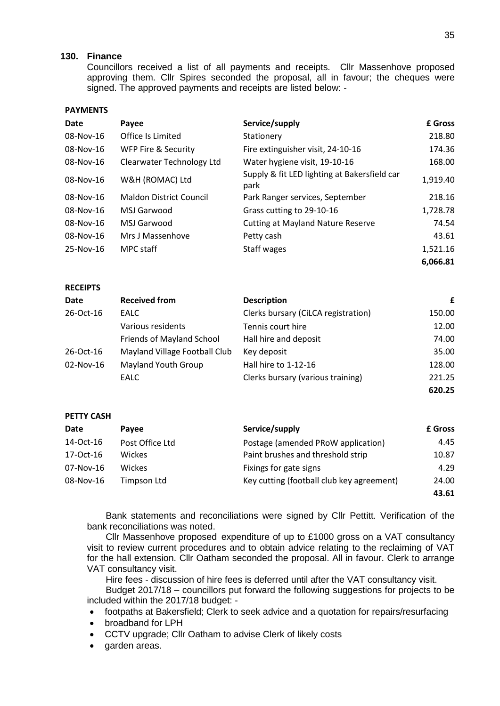# **130. Finance**

Councillors received a list of all payments and receipts. Cllr Massenhove proposed approving them. Cllr Spires seconded the proposal, all in favour; the cheques were signed. The approved payments and receipts are listed below: -

#### **PAYMENTS**

| <b>Date</b> | Payee                          | Service/supply                                       | £ Gross  |
|-------------|--------------------------------|------------------------------------------------------|----------|
| 08-Nov-16   | Office Is Limited              | Stationery                                           | 218.80   |
| 08-Nov-16   | <b>WFP Fire &amp; Security</b> | Fire extinguisher visit, 24-10-16                    | 174.36   |
| 08-Nov-16   | Clearwater Technology Ltd      | Water hygiene visit, 19-10-16                        | 168.00   |
| 08-Nov-16   | W&H (ROMAC) Ltd                | Supply & fit LED lighting at Bakersfield car<br>park | 1,919.40 |
| 08-Nov-16   | <b>Maldon District Council</b> | Park Ranger services, September                      | 218.16   |
| 08-Nov-16   | MSJ Garwood                    | Grass cutting to 29-10-16                            | 1,728.78 |
| 08-Nov-16   | MSJ Garwood                    | <b>Cutting at Mayland Nature Reserve</b>             | 74.54    |
| 08-Nov-16   | Mrs J Massenhove               | Petty cash                                           | 43.61    |
| 25-Nov-16   | MPC staff                      | Staff wages                                          | 1,521.16 |
|             |                                |                                                      | 6,066.81 |

#### **RECEIPTS**

| Date      | <b>Received from</b>          | <b>Description</b>                  | £      |
|-----------|-------------------------------|-------------------------------------|--------|
| 26-Oct-16 | EALC                          | Clerks bursary (CiLCA registration) | 150.00 |
|           | Various residents             | Tennis court hire                   | 12.00  |
|           | Friends of Mayland School     | Hall hire and deposit               | 74.00  |
| 26-Oct-16 | Mayland Village Football Club | Key deposit                         | 35.00  |
| 02-Nov-16 | <b>Mayland Youth Group</b>    | Hall hire to 1-12-16                | 128.00 |
|           | EALC                          | Clerks bursary (various training)   | 221.25 |
|           |                               |                                     | 620.25 |

#### **PETTY CASH**

| Date      | Payee           | Service/supply                            | <b>£</b> Gross |
|-----------|-----------------|-------------------------------------------|----------------|
| 14-Oct-16 | Post Office Ltd | Postage (amended PRoW application)        | 4.45           |
| 17-Oct-16 | <b>Wickes</b>   | Paint brushes and threshold strip         | 10.87          |
| 07-Nov-16 | <b>Wickes</b>   | Fixings for gate signs                    | 4.29           |
| 08-Nov-16 | Timpson Ltd     | Key cutting (football club key agreement) | 24.00          |
|           |                 |                                           | 43.61          |

Bank statements and reconciliations were signed by Cllr Pettitt. Verification of the bank reconciliations was noted.

Cllr Massenhove proposed expenditure of up to £1000 gross on a VAT consultancy visit to review current procedures and to obtain advice relating to the reclaiming of VAT for the hall extension. Cllr Oatham seconded the proposal. All in favour. Clerk to arrange VAT consultancy visit.

Hire fees - discussion of hire fees is deferred until after the VAT consultancy visit.

Budget 2017/18 – councillors put forward the following suggestions for projects to be included within the 2017/18 budget: -

- footpaths at Bakersfield; Clerk to seek advice and a quotation for repairs/resurfacing
- broadband for LPH
- CCTV upgrade; Cllr Oatham to advise Clerk of likely costs
- garden areas.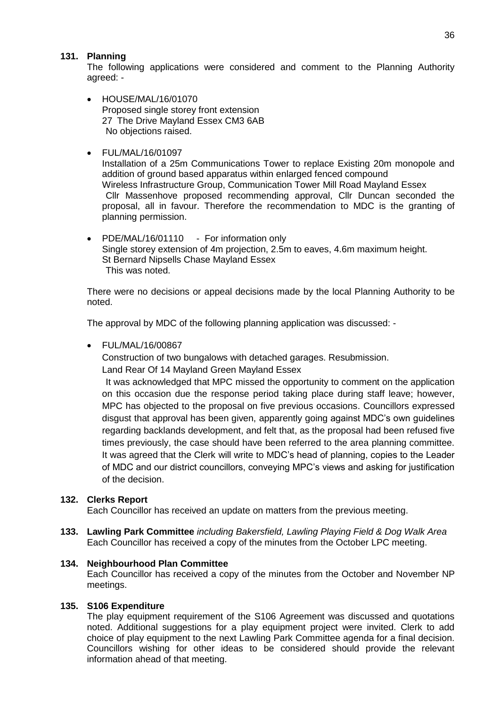# **131. Planning**

The following applications were considered and comment to the Planning Authority agreed: -

• HOUSE/MAL/16/01070 Proposed single storey front extension 27 The Drive Mayland Essex CM3 6AB No objections raised.

# • FUL/MAL/16/01097

Installation of a 25m Communications Tower to replace Existing 20m monopole and addition of ground based apparatus within enlarged fenced compound Wireless Infrastructure Group, Communication Tower Mill Road Mayland Essex Cllr Massenhove proposed recommending approval, Cllr Duncan seconded the proposal, all in favour. Therefore the recommendation to MDC is the granting of planning permission.

• PDE/MAL/16/01110 - For information only Single storey extension of 4m projection, 2.5m to eaves, 4.6m maximum height. St Bernard Nipsells Chase Mayland Essex This was noted.

There were no decisions or appeal decisions made by the local Planning Authority to be noted.

The approval by MDC of the following planning application was discussed: -

• FUL/MAL/16/00867

Construction of two bungalows with detached garages. Resubmission.

Land Rear Of 14 Mayland Green Mayland Essex

It was acknowledged that MPC missed the opportunity to comment on the application on this occasion due the response period taking place during staff leave; however, MPC has objected to the proposal on five previous occasions. Councillors expressed disgust that approval has been given, apparently going against MDC's own guidelines regarding backlands development, and felt that, as the proposal had been refused five times previously, the case should have been referred to the area planning committee. It was agreed that the Clerk will write to MDC's head of planning, copies to the Leader of MDC and our district councillors, conveying MPC's views and asking for justification of the decision.

# **132. Clerks Report**

Each Councillor has received an update on matters from the previous meeting.

**133. Lawling Park Committee** *including Bakersfield, Lawling Playing Field & Dog Walk Area* Each Councillor has received a copy of the minutes from the October LPC meeting.

### **134. Neighbourhood Plan Committee**

Each Councillor has received a copy of the minutes from the October and November NP meetings.

### **135. S106 Expenditure**

The play equipment requirement of the S106 Agreement was discussed and quotations noted. Additional suggestions for a play equipment project were invited. Clerk to add choice of play equipment to the next Lawling Park Committee agenda for a final decision. Councillors wishing for other ideas to be considered should provide the relevant information ahead of that meeting.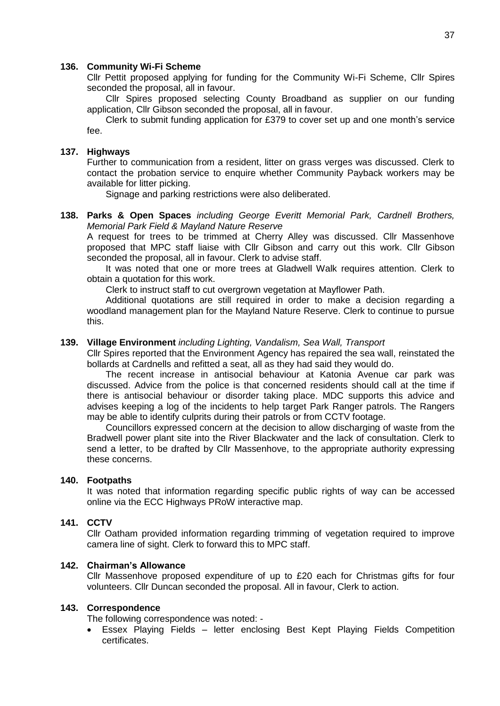#### **136. Community Wi-Fi Scheme**

Cllr Pettit proposed applying for funding for the Community Wi-Fi Scheme, Cllr Spires seconded the proposal, all in favour.

Cllr Spires proposed selecting County Broadband as supplier on our funding application, Cllr Gibson seconded the proposal, all in favour.

Clerk to submit funding application for £379 to cover set up and one month's service fee.

# **137. Highways**

Further to communication from a resident, litter on grass verges was discussed. Clerk to contact the probation service to enquire whether Community Payback workers may be available for litter picking.

Signage and parking restrictions were also deliberated.

# **138. Parks & Open Spaces** *including George Everitt Memorial Park, Cardnell Brothers, Memorial Park Field & Mayland Nature Reserve*

A request for trees to be trimmed at Cherry Alley was discussed. Cllr Massenhove proposed that MPC staff liaise with Cllr Gibson and carry out this work. Cllr Gibson seconded the proposal, all in favour. Clerk to advise staff.

It was noted that one or more trees at Gladwell Walk requires attention. Clerk to obtain a quotation for this work.

Clerk to instruct staff to cut overgrown vegetation at Mayflower Path.

Additional quotations are still required in order to make a decision regarding a woodland management plan for the Mayland Nature Reserve. Clerk to continue to pursue this.

#### **139. Village Environment** *including Lighting, Vandalism, Sea Wall, Transport*

Cllr Spires reported that the Environment Agency has repaired the sea wall, reinstated the bollards at Cardnells and refitted a seat, all as they had said they would do.

The recent increase in antisocial behaviour at Katonia Avenue car park was discussed. Advice from the police is that concerned residents should call at the time if there is antisocial behaviour or disorder taking place. MDC supports this advice and advises keeping a log of the incidents to help target Park Ranger patrols. The Rangers may be able to identify culprits during their patrols or from CCTV footage.

Councillors expressed concern at the decision to allow discharging of waste from the Bradwell power plant site into the River Blackwater and the lack of consultation. Clerk to send a letter, to be drafted by Cllr Massenhove, to the appropriate authority expressing these concerns.

### **140. Footpaths**

It was noted that information regarding specific public rights of way can be accessed online via the ECC Highways PRoW interactive map.

### **141. CCTV**

Cllr Oatham provided information regarding trimming of vegetation required to improve camera line of sight. Clerk to forward this to MPC staff.

#### **142. Chairman's Allowance**

Cllr Massenhove proposed expenditure of up to £20 each for Christmas gifts for four volunteers. Cllr Duncan seconded the proposal. All in favour, Clerk to action.

### **143. Correspondence**

The following correspondence was noted: -

 Essex Playing Fields – letter enclosing Best Kept Playing Fields Competition certificates.